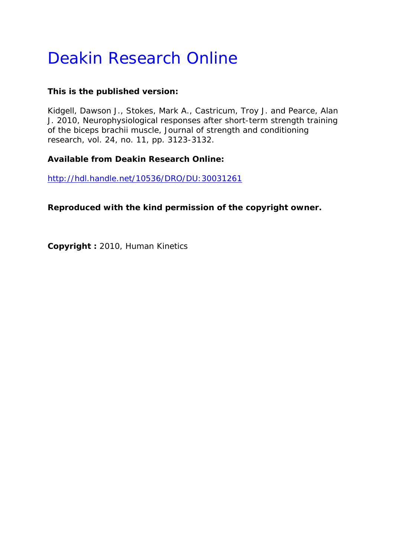# Deakin Research Online

# **This is the published version:**

Kidgell, Dawson J., Stokes, Mark A., Castricum, Troy J. and Pearce, Alan J. 2010, Neurophysiological responses after short-term strength training of the biceps brachii muscle*, Journal of strength and conditioning research*, vol. 24, no. 11, pp. 3123-3132.

# **Available from Deakin Research Online:**

http://hdl.handle.net/10536/DRO/DU:30031261

**Reproduced with the kind permission of the copyright owner.** 

**Copyright :** 2010, Human Kinetics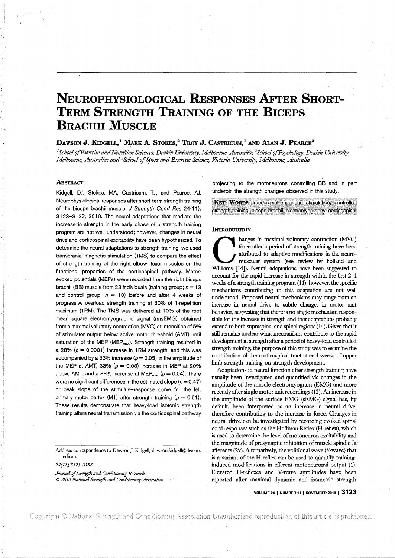# **NEUROPHYSIOLOGICAL RESPONSES AFTER SHORT-TERM STRENGTH TRAINING OF THE BICEPS BRACHII MUSCLE**

DAWSON **J. KIDGELL,<sup>1</sup> MARK A. STOKES,<sup>2</sup> TROY <b>J. CASTRICUM**,<sup>1</sup> AND ALAN **J. PEARCE**<sup>3</sup>

*ISchool* if *Exercise and Nutn'tion Sciences, Deakin University, Melbourne, Australia; 2School* if *Psychology, Deakin Universt'ty, Melbourne, Australia; and* 3 *School* if *Sport and Exercise Science, Victoria Univers1'ty, Melbourne, Australia* 

#### **ABSTRACT**

Kidgell, DJ, Stokes, MA, Castricum, TJ, and Pearce, AJ. Neurophysiological responses after short-term strength training of the biceps brachii muscle. J *Strength Cond Res* 24(11): 3123-3132, 2010. The neural adaptations that mediate the increase in strength in the early phase of a strength training program are not well understood; however, changes in neural drive and corticospinal excitability have been hypothesized. To determine the neural adaptations to strength training, we used transcranial magnetic stimulation (TMS) to compare the effect of strength training of the right elbow flexor muscles on the functional properties of the corticospinal pathway. Motorevoked potentials (MEPs) were recorded from the right biceps brachii (BB) muscle from 23 individuals (training group; *n* = 13 and control group;  $n = 10$ ) before and after 4 weeks of progressive overload strength training at 80% of 1-repetition maximum (1 RM). The TMS was delivered at 10% of the root mean square electromyographic signal (rmsEMG) obtained from a maximal voluntary contraction (MVC) at intensities of 5% of stimulator output below active motor threshold (AMT) until saturation of the MEP (MEP $_{\text{max}}$ ). Strength training resulted in a 28% ( $p = 0.0001$ ) increase in 1RM strength, and this was accompanied by a 53% increase ( $p = 0.05$ ) in the amplitude of the MEP at AMT, 33% ( $p = 0.05$ ) increase in MEP at 20% above AMT, and a 38% increase at MEP<sub>max</sub>  $(p = 0.04)$ . There were no significant differences in the estimated slope  $(p = 0.47)$ or peak slope of the stimulus-response curve for the left primary motor cortex (M1) after strength training ( $p = 0.61$ ). These results demonstrate that heavy-load isotonic strength training alters neural transmission via the corticospinal pathway

Address correspondence to Dawson]. KidgeII, dawson.kidgeII@deakin. edu.au.

*24(11}13123-3132* 

*Journal* if *Strength and Conditioning Research*  © *2010 National Strength and Conditioning Association*  projecting to the motoneurons controlling BB and in part underpin the strength changes observed in this study.

KEY WORDS transcranial magnetic stimulation, controlled strength training, biceps brachii, electromyography, corticospinal

#### **INTRODUCTION**

Anages in maximal voluntary contraction (MVC) force after a period of strength training have been attributed to adaptive modifications in the neuro-muscular system (see review by Folland and Williams [14]). Neural adaptati force after a period of strength training have been attributed to adaptive modifications in the neuromuscular system (see review by Folland and account for the rapid increase in strength within the first 2-4 weeks of a strength training program (14); however, the specific mechanisms contributing to this adaptation are not well understood Proposed neural mechanisms may range from an increase in neural drive to subtle changes in motor unit behavior, suggesting that there is no single mechanism responsible for the increase in strength and that adaptations probably extend to both supraspinal and spinal regions (14). Given that it still remains unclear what mechanisms contribute to the rapid development in strength after a period of heavy-load controlled strength training, the purpose of this study was to examine the contribution of the corticospinal tract after 4-weeks of upper limb strength training on strength development.

Adaptations in neural function after strength training have usually been investigated and quantified via changes in the amplitude of the muscle electromyogram (EMG) and more recently after single motor unit recordings (12). An increase in the amplitude of the surface EMG (sEMG) signal has, by default, been interpreted as an increase in neural drive, therefore contributing to the increase in force. Changes in neural drive can be investigated by recording evoked spinal cord responses such as the Hoffman Reflex (H-reflex), which is used to determine the level of motoneuron excitability and the magnitude of presynaptic inhibition of muscle spindle Ia afferents (29). Alternatively, the volitional wave (V-wave) that is a variant of the H-reflex can be used to quantify traininginduced modifications in efferent motoneuronal output (1). Elevated H-reflexes and V-wave amplitudes have been reported after maximal dynamic and isometric strength

#### VOLUME 24 I NUMBER 11 I NOVEMBER 2010 I **3123**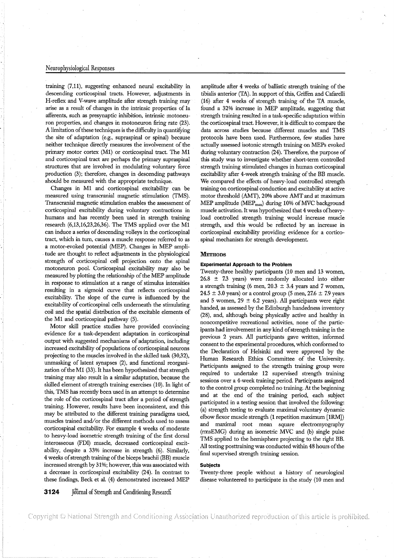training (7,11), suggesting enhanced neural excitability in descending corticospinal tracts. However, adjustments in H-reflex and V-wave amplitude after strength training may arise as a result of changes in the intrinsic properties of Ia afferents, such as presynaptic inhibition, intrinsic motoneuron properties, and changes in motoneuron firing rate (23). A limitation of these techniques is the difficulty in quantifying the site of adaptation (e.g., supraspinal or spinal) because neither technique directly measures the involvement of the primary motor cortex (M1) or corticospinal tract. The M1 and corticospinal tract are perhaps the primary supraspinal structures that are involved in modulating voluntary force production (3); therefore, changes in descending pathways should be measured with the appropriate technique.

Changes in M1 and corticospinal excitability can be measured using transcranial magnetic stimulation (TMS). Transcranial magnetic stimulation enables the assessment of corticospinal excitability during voluntary contractions in humans and has recently been used in strength training research (6,13,16,23,26,36). The TMS applied over the M1 can induce a series of descending volleys in the corticospinal tract, which in tum, causes a muscle response referred to as a motor-evoked potential (MEP). Changes in MEP amplitude are thought to reflect adjustments in the physiological strength of corticospinal cell projection onto the spinal motoneuron pool. Corticospinal excitability may also be measured by plotting the relationship of the MEP amplitude in response to stimulation at a range of stimulus intensities resulting in a sigmoid curve that reflects corticospinal excitability. The slope of the curve is influenced by the excitability of corticospinal cells underneath the stimulating coil and the spatial distribution of the excitable elements of the M1 and corticospinal pathway (5).

Motor skill practice studies have provided convincing evidence for a task-dependent adaptation in corticospinal output with suggested mechanisms of adaptation, including increased excitability of populations of corticospinal neurons projecting to the muscles involved in the skilled task (30,32), unmasking of latent synapses (2), and functional reorganization of the M1 (33). It has been hypothesized that strength training may also result in a similar adaptation, because the skilled element of strength training exercises (10). In light of this, TMS has recently been used in an attempt to determine the role of the corticospinal tract after a period of strength training. However, results have been inconsistent, and this may be attributed to the different training paradigms used, muscles trained and/or the different methods used to assess corticospinal excitability. For example 4 weeks of moderate to heavy-load isometric strength training of the first dorsal interosseous (FDI) muscle, decreased corticospinal excitability, despite a 33% increase in strength (6). Similarly, 4 weeks of strength training of the biceps brachii (BB) muscle increased strength by 31%; however, this was associated with a decrease in corticospinal excitability (24). In contrast to these findings, Beck et al. (4) demonstrated increased MEP

amplitude after 4 weeks of ballistic strength training of the tibialis anterior (TA). In support of this, Griffen and Cafarelli (16) after 4 weeks of strength training of the TA muscle, found a 32% increase in MEP amplitude, suggesting that strength training resulted in a task-specific adaptation within the corticospinal tract. However, it is difficult to compare the data across studies because different muscles and TMS protocols have been used. Furthermore, few studies have actually assessed isotonic strength training on MEPs evoked during voluntary contraction (24). Therefore, the purpose of this study was to investigate whether short-term controlled strength training stimulated changes in human corticospinal excitability after 4-week strength training of the BB muscle. We compared the effects of heavy-load controlled strength training on corticospinal conduction and excitability at active motor threshold (AMT), 20% above AMT and at maximum MEP amplitude (MEP<sub>max</sub>) during 10% of MVC background muscle activation. It was hypothesized that 4 weeks of heavyload controlled strength training would increase muscle strength, and this would be reflected by an increase in corticospinal excitability providing evidence for a corticospinal mechanism for strength development.

#### **METHODS**

#### **Experimental Approach to the Problem**

Twenty-three healthy participants (10 men and 13 women,  $26.8 \pm 7.3$  years) were randomly allocated into either a strength training (6 men,  $20.3 \pm 3.4$  years and 7 women, 24.5  $\pm$  3.0 years) or a control group (5 men, 27.6  $\pm$  7.9 years and 5 women,  $29 \pm 6.2$  years). All participants were right handed, as assessed by the Edinburgh handedness inventory (28), and, although being physically active and healthy in noncompetitive recreational activities, none of the participants had involvement in any kind of strength training in the previous 2 years. All participants gave written, informed consent to the experimental procedures, which conformed to the Declaration of Helsinki and were approved by the Human Research Ethics Committee of the University. Participants assigned to the strength training group were required to undertake 12 supervised strength training sessions over a 4-week training period. Participants assigned to the control group completed no training. At the beginning and at the end of the training period, each subject participated in a testing session that involved the following: (a) strength testing to evaluate maximal voluntary dynamic elbow flexor muscle strength (1 repetition maximum [1RM]) and maximal root mean square electromyography (rmsEMG) during an isometric MVC and (b) single pulse TMS applied to the hemisphere projecting to the right BB. All testing posttraining was conducted within 48 hours of the final supervised strength training session.

#### **Subjects**

Twenty-three people without a history of neurological disease volunteered to participate in the study (10 men and

## **3124 Journal of Strength and Conditioning Research**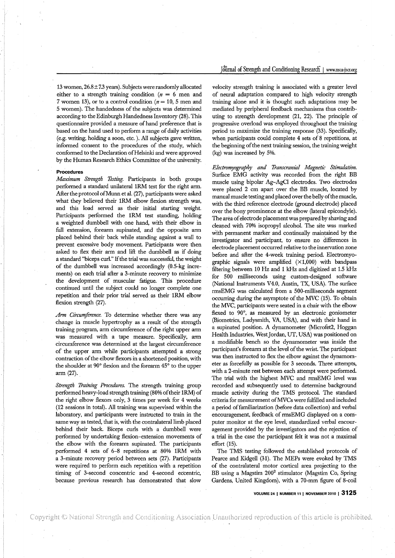13 women, 26.8 ± 7.3 years). Subjects were randomly allocated either to a strength training condition ( $n = 6$  men and 7 women 13), or to a control condition ( $n = 10$ , 5 men and 5 women). The handedness of the subjects was determined according to the Edinburgh Handedness Inventory (28). This questionnaire provided a measure of hand preference that is based on the hand used to perform a range of daily activities (e.g. writing, holding a soon, etc. ). All subjects gave written, informed consent to the procedures of the study, which conformed to the Declaration of Helsinki and were approved by the Human Research Ethics Committee of the university.

#### **Procedures**

*Maximum Strength Testing.* Participants in both groups performed a standard unilateral lRM test for the right arm. After the protocol ofMunn et al. (27), participants were asked what they believed their lRM elbow flexion strength was, and this load served as their initial starting weight. Participants performed the lRM test standing, holding a weighted dumbbell with one hand, with their elbow in full extension, forearm supinated, and the opposite arm placed behind their back while standing against a wall to prevent excessive body movement. Participants were then asked to flex their arm and lift the dumbbell as if doing a standard "biceps curl." If the trial was successful, the weight of the dumbbell was increased accordingly (0.5-kg increments) on each trial after a 3-minute recovery to minimize the development of muscular fatigue. This procedure continued until the subject could no longer complete one repetition and their prior trial served as their 1RM elbow flexion strength (27).

Arm Circumference. To determine whether there was any change in muscle hypertrophy as a result of the strength training program, arm circumference of the right upper arm was measured with a tape measure. Specifically, arm circumference was determined at the largest circumference of the upper arm while participants attempted a strong contraction of the elbow flexors in a shortened position, with the shoulder at 90° flexion and the forearm 45° to the upper arm (27).

*Strength Training Procedures.* The strength training group performed heavy-load strength training (80% of their lRM) of the right elbow flexors only, 3 times per week for 4 weeks (12 sessions in total). All training was supervised within the laboratory, and participants were instructed to train in the same way as tested, that is, with the contralateral limb placed behind their back. Biceps curls with a dumbbell were performed by undertaking flexion-extension movements of the elbow with the forearm supinated. The participants performed 4 sets of 6-8 repetitions at 80% lRM with a 3-minute recovery period between sets (27). Participants were required to perform each repetition with a repetition timing of 3-second concentric and 4-second eccentric, because previous research has demonstrated that slow

velocity strength training is associated with a greater level of neural adaptation compared to high velocity strength training alone and it is thought such adaptations may be mediated by peripheral feedback mechanisms thus contributing to strength development (21, 22). The principle of progressive overload was employed throughout the training period to maximize the training response (33). Specifically, when participants could complete 4 sets of 8 repetitions, at the beginning of the next training session, the training weight (kg) was increased by 5%.

*Electromyography and Transcranial Magnetic Stimulation.*  Surface EMG activity was recorded from. the right BB muscle using bipolar Ag-AgCl electrodes. Two electrodes were placed 2 cm apart over the BB muscle, located by manual muscle testing and placed over the belly of the muscle, with the third reference electrode (ground electrode) placed over the bony prominence at the elbow Qateral epicondyle). The area of electrode placement was prepared by shaving and cleaned with 70% isopropyl alcohol. The site was marked with permanent marker and continually maintained by the investigator and participant, to ensure no differences in electrode placement occurred relative to the innervation zone before and after the 4-week training period. Electromyographic signals were amplified  $(\times 1,000)$  with bandpass filtering between 10 Hz and 1 kHz and digitized at 1.5 kHz for 500 milliseconds using custom-designed software (National Instruments V4.0, Austin, TX, USA). The surface rmsEMG was calculated from a 500-milliseconds segment occurring during the asymptote of the MVC (15). To obtain the MVC, participants were seated in a chair with the elbow flexed to 90°, as measured by an electronic goniometer (Biometrics, Ladysmith, VA, USA), and with their hand in a supinated position. A dynamometer (Microfet2, Hoggan Health Industries, West Jordan, UT, USA) was positioned on a modifiable bench so the dynamometer was inside the participant's forearm at the level of the wrist. The participant was then instructed to flex the elbow against the dynamometer as forcefully as possible for 3 seconds. Three attempts, with a 2-minute rest between each attempt were performed. The trial with the highest MVC and rmsEMG level was recorded and subsequently used to determine background muscle activity during the TMS protocol. The standard criteria for measurement ofMVCs were fulfilled and included a period of familiarization (before data collection) and verbal encouragement, feedback of rmsEMG displayed on a computer monitor at the eye level, standardized verbal encouragement provided by the investigators and the rejection of a trial in the case the participant felt it was not a maximal effort (15).

The TMS testing followed the established protocols of Pearce and Kidgell (31). The MEPs were evoked by TMS of the contralateral motor cortical area projecting to the BB using a Magstim 200<sup>2</sup> stimulator (Magstim Co, Spring Gardens, United Kingdom), with a 70-mm figure of 8-coil

VOLUME 24 | NUMBER 11 | NOVEMBER 2010 **| 3125**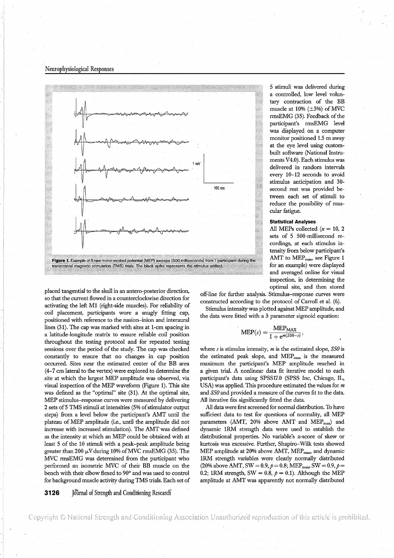

placed tangential to the skull in an antero-posterior direction, so that the current flowed in a counterclockwise direction for activating the left Ml (right-side muscles). For reliability of coil placement, participants wore a snugly fitting cap, positioned with reference to the nasion-inion and interaural lines (31). The cap was marked with sites at l-cm spacing in a latitude-longitude matrix to ensure reliable coil position throughout the testing protocol and for repeated testing sessions over the period of the study. The cap was checked constantly to ensure that no changes in cap position occurred. Sites near the estimated center of the BB area (4-7 cm lateral to the vertex) were explored to determine the site at which the largest MEP amplitude was observed, via visual inspection of the MEP waveform (Figure 1). This site was defined as the "optimal" site (31). At the optimal site, MEP stimulus-response curves were measured by delivering 2 sets of 5 TMS stimuli at intensities (5% of stimulator output steps) from a level below the participant's AMT until the plateau of MEP amplitude (i.e., until the amplitude did not increase with increased stimulation). The AMT was defined as the intensity at which an MEP could be obtained with at least 5 of the 10 stimuli with a peak-peak amplitude being greater than 200  $\mu$ V during 10% of MVC rmsEMG (35). The MVC rmsEMG was determined from the participant who performed an isometric MVC of their BB muscle on the bench with their elbow flexed to 90° and was used to control for background muscle activity during TMS trials. Each set of

**3126** • Journal of Strength and Conditioning Research

5 stimuli was delivered during a controlled, low level voluntary contraction of the BB muscle at  $10\%$  ( $\pm 3\%$ ) of MVC rmsEMG (35). Feedback of the participant's rmsEMG level was displayed on a computer monitor positioned 1.5 m away at the eye level using custombuilt software (National Instruments V4.0). Each stimulus was delivered in random intervals every 10-12 seconds to avoid stimulus anticipation and 30 second rest was provided between each set of stimuli to reduce the possibility of muscular fatigue.

#### **Statistical Analyses**

All MEPs collected  $(n = 10, 2)$ sets of 5 500-millisecond recordings, at each stimulus intensity from below participant's AMT to  $MEP_{\text{max}}$ , see Figure 1 for an example) were displayed and averaged online for visual inspection, in determining the optimal site, and then stored

off-line for further analysis. Stimulus-response curves were constructed according to the protocol of Carroll et al. (6).

Stimulus intensity was plotted against MEP amplitude, and the data were fitted with a 3 parameter sigmoid equation:

$$
MEP(s) = \frac{MEP_{MAX}}{1 + e^{m(S50-s)}},
$$

where *s* is stimulus intensity, *m* is the estimated slope, SSO is the estimated peak slope, and MEP<sub>max</sub> is the measured maximum the participant's MEP amplitude reached in a given trial. A nonlinear data fit iterative model to each participant's data using SPSSI7.0 (SPSS Inc, Chicago, IL, USA) was applied. This procedure estimated the values for *m*  and SSO and provided a measure of the curves fit to the data. All iterative fits significantly fitted the data.

All data were first screened for normal distribution. To have sufficient data to test for questions of normality, all MEP parameters (AMT, 20% above AMT and  $MEP_{max}$ ) and dynamic lRM strength data were used to establish the distributional properties. No variable's z-score of skew or kurtosis was excessive. Further, Shapiro-Wilk tests showed MEP amplitude at 20% above AMT, MEP<sub>max</sub>, and dynamic lRM strength variables were clearly normally distributed (20% above AMT, SW =  $0.9, p = 0.8$ ; MEP<sub>max</sub>, SW =  $0.9, p =$ 0.2; 1RM strength, SW = 0.8,  $p = 0.1$ ). Although the MEP amplitude at AMT was apparently not normally distributed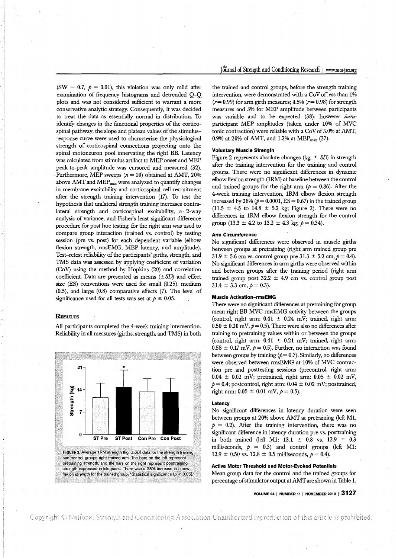(SW = 0.7,  $p = 0.01$ ), this violation was only mild after examination of frequency histograms and detrended Q-Q plots and was not considered sufficient to warrant a more conservative analytic strategy. Consequently, it was decided to treat the data as essentially normal in distribution. To identify changes in the functional properties of the corticospinal pathway, the slope and plateau values of the stimulusresponse curve were used to characterize the physiological strength of corticospinal connections projecting onto the spinal motoneuron pool innervating the right BE. Latency was calculated from stimulus artifact to MEP onset and MEP peak-to-peak amplitude was cursored and measured (32). Furthermore, MEP sweeps  $(n = 10)$  obtained at AMT, 20% above  $AMT$  and  $MEP_{max}$  were analyzed to quantify changes in membrane excitability and corticospinal cell recruitment after the strength training intervention (17). To test the hypothesis that unilateral strength training increases contralateral strength and corticospinal excitability, a 2-way analysis of variance, and Fisher's least significant difference procedure for post hoc testing, for the right arm was used to compare group interaction (trained vs. control) by testing session (pre vs. post) for each dependent variable (elbow flexion strength, rmsEMG, MEP latency, and amplitude). Test-retest reliability of the participants' girths, strength, and TMS data was assessed by applying coefficient of variation (CoV) using the method by Hopkins (20) and correlation coefficient. Data are presented as means *(±SD)* and effect size (ES) conventions were used for small (0.25), medium (0.5), and large (0.8) comparative effects (7). The level of significance used for all tests was set at  $p \le 0.05$ .

#### **RESULTS**

All participants completed the 4-week training intervention. Reliability in all measures (girths, strength, and TMS) in both



the trained and control groups, before the strength training intervention, were demonstrated with a CoV of less than 1%  $(r= 0.99)$  for arm girth measures;  $4.5\%$   $(r= 0.98)$  for strength measures and 3% for MEP amplitude between participants was variable and to be expected (38); however *intra*participant MEP amplitudes (taken under 10% of MVC tonic contraction) were reliable with a CoVof3.0% at AMT, 0.9% at 20% of AMT, and 1.2% at  $MEP_{max}$  (37).

#### **Voluntary Muscle Strength**

Figure 2 represents absolute changes (kg, ± *SD)* in strength after the training intervention for the training and control groups. There were no significant differences in dynamic elbow flexion strength (1RM) at baseline between the control and trained groups for the right arm  $(p = 0.86)$ . After the 4-week training intervention, 1RM elbow flexion strength increased by 28%  $(p = 0.0001, ES = 0.67)$  in the trained group  $(11.5 \pm 4.5 \text{ to } 14.8 \pm 5.2 \text{ kg}$ ; Figure 2). There were no differences in 1RM elbow flexion strength for the control group (13.3  $\pm$  4.2 to 13.2  $\pm$  4.3 kg;  $p = 0.34$ ).

#### **Arm Circumference**

No significant differences were observed in muscle girths between groups at pretraining (right arm trained group pre  $31.9 \pm 5.6$  cm vs. control group pre  $31.3 \pm 5.2$  cm,  $p = 0.4$ ). No significant differences in arm girths were observed within and between groups after the training period (right arm trained group post  $32.2 \pm 4.9$  cm vs. control group post  $31.4 \pm 3.3 \text{ cm}, \rho = 0.3$ ).

#### **Muscle Activation-rmsEMG**

There were no significant differences at pretraining for group mean right BB MVC rmsEMG activity between the groups (control, right arm:  $0.41 \pm 0.24$  mV; trained, right arm:  $0.50 \pm 0.20$  mV,  $p = 0.5$ ). There were also no differences after training to pretraining values within or between the groups (control, right arm:  $0.41 \pm 0.21$  mV; trained, right arm:  $0.58 \pm 0.17$  mV,  $\rho = 0.5$ ). Further, no interaction was found between groups by training  $(p=0.7)$ . Similarly, no differences were observed between rmsEMG at 10% of MVC contraction pre and posttesting sessions (precontroI. right arm:  $0.04 \pm 0.02$  mV; pretrained, right arm:  $0.05 \pm 0.02$  mV,  $p = 0.4$ ; postcontrol, right arm:  $0.04 \pm 0.02$  mV; posttrained, right arm:  $0.05 \pm 0.01$  mV,  $p = 0.5$ ).

#### **Latency**

No significant differences in latency duration were seen between groups at 20% above AMT at pretraining (left M1,  $p = 0.2$ ). After the training intervention, there was no significant difference in latency duration pre vs. posttraining in both trained Qeft M1: 13.1 ± 0.8 vs. 12.9 ± 0.3 milliseconds,  $p = 0.3$ ) and control groups (left M1: 12.9  $\pm$  0.50 vs. 12.8  $\pm$  0.5 milliseconds,  $p = 0.4$ ).

#### **Active Motor Threshold and Motor-Evoked Potentials**

Mean group data for the control and the trained groups for percentage of stimulator output at AMTare shown in Table 1.

**VOLUME 24 I NUMBER 11 I NOVEMBER** 2010 **I 3127**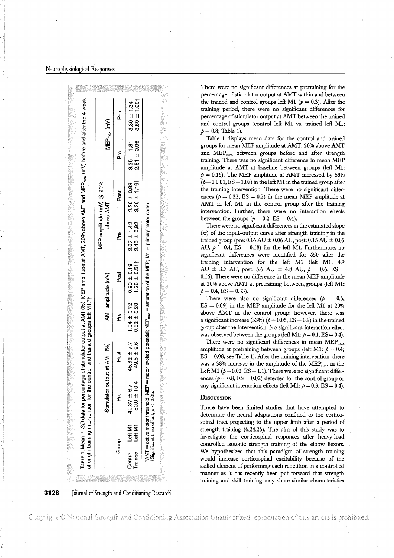|                           | Stimulator output at AMT (%)                       |                             |                                  | AMT amplitude (mV)                 |                                    | MEP amplitude (mV) @ 20%<br>above AMT |                                | $MEP_{max}(mV)$                    |
|---------------------------|----------------------------------------------------|-----------------------------|----------------------------------|------------------------------------|------------------------------------|---------------------------------------|--------------------------------|------------------------------------|
| Group                     |                                                    | Post                        | p.<br>D                          | Post                               | p.<br>D                            | Post                                  | å                              | Post                               |
| Left M1<br><b>Trained</b> | $50.0 \pm 10.4$<br>Control Left M1 $49.37 \pm 6.7$ | $49.5 + 9.6$<br>45.62 ± 7.7 | $1.04 \pm 0.72$<br>$0.82 + 0.28$ | $1.26 \pm 0.51$<br>$0.93 \pm 0.19$ | $2.87 \pm 1.42$<br>$2.45 \pm 0.92$ | $3.26 \pm 1.19$<br>$2.76 \pm 0.93$    | $3.35 + 1.81$<br>$2.81 + 0.96$ | $3.89 \pm 1.09$<br>$3.39 \pm 1.34$ |

# **3128 Journal of Strength and Conditioning Research**

There were no significant differences at pretraining for the percentage of stimulator output at AMT within and between the trained and control groups left M1  $(p = 0.3)$ . After the training period, there were no significant differences for percentage of stimulator output at AMT between the trained and control groups (control left M1 vs. trained left M1;  $p = 0.8$ ; Table 1).

Table 1 displays mean data for the control and trained groups for mean MEP amplitude at AMT, 20% above AMT and MEP<sub>max</sub> between groups before and after strength training. There was no significant difference in mean MEP amplitude at AMT at baseline between groups (left M1:  $p = 0.16$ . The MEP amplitude at AMT increased by 53%  $(p= 00.01, ES = 1.07)$  in the left M1 in the trained group after the training intervention. There were no significant differences  $(\rho = 0.32, ES = 0.2)$  in the mean MEP amplitude at AMT in left M1 in the control group after the training intervention. Further, there were no interaction effects between the groups  $(p = 0.2, ES = 0.4)$ .

There were no significant differences in the estimated slope  $(m)$  of the input-output curve after strength training in the trained group (pre:  $0.16 \text{ AU} \pm 0.06 \text{ AU}$ , post:  $0.15 \text{ AU} \pm 0.05$ AU,  $p = 0.4$ , ES = 0.18) for the left M1. Furthermore, no significant differences were identified for SSO after the training intervention for the left M1 (left M1: 4.9 AU  $\pm$  3.7 AU, post; 5.6 AU  $\pm$  4.8 AU,  $p = 0.6$ , ES = 0.16). There were no difference in the mean MEP amplitude at 20% above AMT at pretraining between, groups (left M1:  $p = 0.4$ , ES = 0.33).

There were also no significant differences  $(p = 0.6,$  $ES = 0.09$ ) in the MEP amplitude for the left M1 at 20% above AMT in the control group; however, there was a significant increase  $(33%)$  ( $p = 0.05$ , ES = 0.9) in the trained group after the intervention. No significant interaction effect was observed between the groups (left M1:  $p = 0.1$ , ES = 0.4).

There were no significant differences in mean  $\text{MEP}_{\text{max}}$ amplitude at pretraining between groups (left M1:  $p = 0.4$ ;  $ES = 0.08$ , see Table 1). After the training intervention, there was a 38% increase in the amplitude of the MEP<sub>max</sub> in the Left M1  $(p = 0.02, ES = 1.1)$ . There were no significant differences  $(p = 0.8, ES = 0.02)$  detected for the control group or any significant interaction effects (left M1:  $p = 0.3$ , ES = 0.4).

#### **DISCUSSION**

There have been limited studies that have attempted to determine the neural adaptations confined to the corticospinal tract projecting to the upper limb after a period of strength training (6,24,26). The aim of this study was to investigate the corticospinal responses after heavy-load controlled isotonic strength training of the elbow flexors. We hypothesized that this paradigm of strength training would increase corticospinal excitability because of the skilled element of performing each repetition in a controlled manner as it has recently been put forward that strength training and skill training may share similar characteristics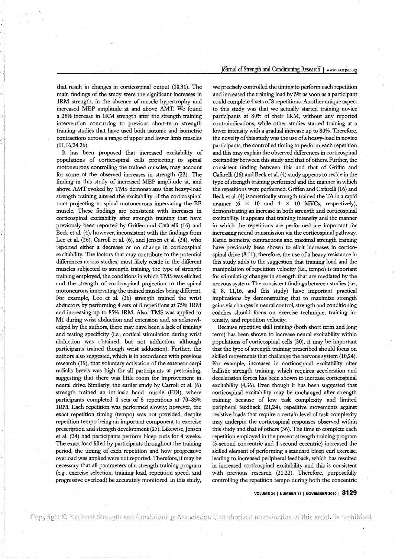that result in changes in corticospinal output (10,31). The main findings of the study were the significant increases in 1RM strength, in the absence of muscle hypertrophy and increased MEP amplitude at and above AMT. We found a 28% increase in 1RM strength after the strength training intervention concurring to previous short-term strength training studies that have used both isotonic and isometric contractions across a range of upper and lower limb muscles (11,16,24,26).

It has been proposed that increased excitability of populations of corticospinal cells projecting to spinal motoneurons controlling the trained muscles, may account for some of the observed increases in strength (23). The finding in this study of increased MEP amplitude at, and above AMT evoked by TMS demonstrates that heavy-load strength training altered the excitability of the corticospinal tract projecting to spinal motoneurons innervating the BB muscle. These findings are consistent with increases in corticospinal excitability after strength training that have previously been reported by Griffen and Cafarelli (16) and Beck et al. (4), however, inconsistent with the findings from Lee et al. (26), Carroll et al. (6), and Jensen et al. (24), who reported either a decrease or no change in corticospinal excitability. The factors that may contribute to the potential differences across studies, most likely reside in the different muscles subjected to strength training, the type of strength training employed, the conditions in which TMS was elicited and the strength of corticospinal projection to the spinal motoneurons innervating the trained muscles being different. For example, Lee et al. (26) strength trained the wrist abductors by performing 4 sets of 8 repetitions at 75% 1RM and increasing up to 85% 1RM. Also, TMS was applied to M1 during wrist abduction and extension and, as acknowledged by the authors, there may have been a lack of training and testing specificity (i.e., cortical stimulation during wrist abduction was obtained, but not adduction, although participants trained though wrist adduction). Further, the authors also suggested, which is in accordance with previous research (19), that voluntary activation of the extensor carpi radialis brevis was high for all participants at pretraining, suggesting that there was little room for improvement in neural drive. Similarly, the earlier study by Carroll et al. (6) strength trained an intrinsic hand muscle (FDI), where participants completed 4 sets of 6 repetitions at 70-85% 1RM. Each repetition was performed slowly; however, the exact repetition timing (tempo) was not provided, despite repetition tempo being an important component to exercise prescription and strength development (27). Likewise,Jensen et al. (24) had participants perform bicep curls for 4 weeks. The exact load lifted by participants throughout the training period, the timing of each repetition and how progressive overload was applied were not reported. Therefore, it may be necessary that all parameters of a strength training program (e.g., exercise selection, training load, repetition speed, and progressive overload) be accurately monitored. In this study,

#### Journal of Strength and Conditioning Research | www.nsca-jscr.org

we precisely controlled the timing to perform each repetition and increased the training load by 5% as soon as a participant could complete 4 sets of 8 repetitions. Another unique aspect to this study was that we actually started training novice participants at 80% of their 1RM, without any reported contraindications, while other studies started training at a lower intensity with a gradual increase up to 80%. Therefore, the novelty of this study was the use of a heavy-load in novice participants, the controlled timing to perform each repetition and this may explain the observed differences in corticospinal excitability between this study and that of others. Further, the consistent finding between this and that of Griffin and Cafarelli (16) and Beck et al. (4) study appears to reside in the type of strength training performed and the manner in which the repetitions were performed. Griffen and Cafarelli (16) and Beck et al. (4) isometrically strength trained the TA in a rapid manner (6  $\times$  10 and 4  $\times$  10 MVCs, respectively), demonstrating an increase in both strength and corticospinal excitability. It appears that training intensity and the manner in which the repetitions are performed are important for increasing neural transmission via the corticospinal pathway. Rapid isometric contractions and maximal strength training have previously been shown to elicit increases in corticospinal drive (8,11); therefore, the use of a heavy resistance in this study adds to the suggestion that training load and the manipulation of repetition velocity (i.e., tempo) is important for stimulating changes in strength that are mediated by the nervous system. The consistent findings between studies (i.e., 4, 8, 11,16, and this study) have important practical implications by demonstrating that to maximize strength gains via changes in neural control, strength and conditioning . coaches should focus on exercise technique, training intensity, and repetition velocity\_

Because repetitive skill training (both short term and long term) has been shown to increase neural excitability within populations of corticospinal cells (30), it may be important that the type of strength training prescribed should focus on skilled movements that challenge the nervous system (10,24). For example, increases in corticospinal excitability after ballistic strength training, which requires acceleration and deceleration forces has been shown to increase corticospinal excitability (4,36). Even though it has been suggested that corticospinal excitability may be unchanged after strength training because of low task complexity and limited peripheral feedback (21,24), repetitive movements against resistive loads that require a certain level of task complexity may underpin the corticospinal responses observed within this study and that of others (36). The time to complete each repetition employed in the present strength training program (3-second concentric and 4-second eccentric) increased the skilled element of performing a standard bicep curl exercise, leading to increased peripheral feedback, which has resulted in increased corticospinal excitability and this is consistent with previous research (21,22). Therefore, purposefully controlling the repetition tempo during both the concentric

VOLUME24! NUMBER11! NOVEMBER 2010 ! **3129**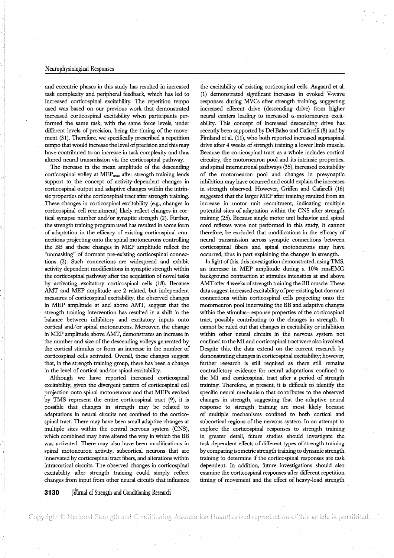and eccentric phases in this study has resulted in increased task complexity and peripheral feedback, which has led to increased corticospinal excitability. The repetition tempo used was based on our previous work that demonstrated increased corticospinal excitability when participants performed the same task, with the same force levels, under different levels of precision, being the timing of the movement (31). Therefore, we specifically prescribed a repetition tempo that would increase the level of precision and this may have contributed to an increase in task complexity and thus altered neural transmission via the corticospinal pathway.

The increase in the mean amplitude of the descending corticospinal volley at MEP<sub>max</sub> after strength training lends support to the concept of activity-dependent changes in corticospinal output and adaptive changes within the intrinsic properties of the corticospinal tract after strength training. These changes in corticospinal excitability (e.g., changes in corticospinal cell recruitment) likely reflect changes in cortical synapse number and/or synaptic strength  $(2)$ . Further, the strength training program used has resulted in some form of adaptation in the efficacy of existing corticospinal connections projecting onto the spinal motoneurons controlling the BB and these changes in MEP amplitude reflect the "unmasking" of dormant pre-existing corticospinal connections (2). Such connections are widespread and exhibit activity dependent modifications in synaptic strength within the corticospinal pathway after the acquisition of novel tasks by activating excitatory corticospinal cells (18). Because AMT and MEP amplitude are 2 related, but independent measures of corticospinal excitability, the observed changes in MEP amplitude at and above AMT, suggest that the strength training intervention has resulted in a shift in the balance between inhibitory and excitatory inputs onto cortical and/or spinal motoneurons. Moreover, the change in MEP amplitude above AMT, demonstrates an increase in the number and size of the descending volleys generated by the cortical stimulus or from an increase in the number of corticospinal cells activated. Overall, these changes suggest that, in the strength training group, there has been a change in the level of cortical and/or spinal excitability.

Although we have reported increased corticospinal excitability, given the divergent pattern of corticospinal cell projection onto spinal motoneurons and that MEPs evoked by TMS represent the entire corticospinal tract (9), it is possible that changes in strength may be related to adaptations in neural circuits not confined to the corticospinal tract. There may have been small adaptive changes at multiple sites within the central nervous system (CNS), which combined may have altered the way in which the BB was activated. There may also have been modifications in spinal motoneuron activity, subcortical neurons that are innervated by corticospinal tract fibers, and alterations within intracortical circuits. The observed changes in corticospinal excitability after strength training could simply reflect changes from input from other neural circuits that influence

the excitability of existing corticospinal cells. Aagaard et al. (1) demonstrated significant increases in evoked V-wave responses during MVCs after strength training, suggesting increased efferent drive (descending drive) from higher neural centers leading to increased  $\alpha$ -motorneuron excitability. This concept of increased descending drive has recently been supported by Del Balso and Cafarelli (8) and by Firnland et al. (11), who both reported increased supraspinal drive after 4 weeks of strength training a lower limb muscle. Because the corticospinal tract as a whole includes cortical circuitry, the motorneuron pool and its intrinsic properties, and spinal interneuronal pathways (35), increased excitability of the motorneuron pool and changes in presynaptic inhibition may have occurred and could explain the increases in strength observed. However, Griffen and Cafarelli (16) suggested that the larger MEP after training resulted from an increase in motor unit recruitment, indicating multiple potential sites of adaptation within the CNS after strength training (25). Because single motor unit behavior and spinal cord reflexes were not performed in this study, it cannot therefore, be excluded that modifications in the efficacy of neural transmission across synaptic connections between corticospinal fibers and spinal motoneurons may have occurred, thus in part explaining the changes in strength.

In light of this, this investigation demonstrated, using TMS, an increase in MEP amplitude during a 10% rmsEMG background contraction at stimulus intensities at and above AMT after 4 weeks of strength training the BB muscle. These data suggest increased excitability of pre-existing but dormant connections within corticospinal cells projecting onto the motorneuron pool innervating the BB and adaptive changes within the stimulus-response properties of the corticospinal tract, possibly contributing to the changes in strength. It cannot be ruled out that changes in excitability or inhibition within other neural circuits in the nervous system not confined to the M1 and corticospinal tract were also involved. Despite this, the data extend on the current research by demonstrating changes in corticospinal excitability; however, further research is still required as there still remains contradictory evidence for neural adaptations confined to the M1 and corticospinal tract after a period of strength training. Therefore, at present, it is difficult to identify the specific neural mechanism that contributes to the observed changes in strength, suggesting that the adaptive neural response to strength training are most likely because of multiple mechanisms confined to both cortical and subcortical regions of the nervous system. In an attempt to explore the corticospinal responses to strength training in greater detail, future studies should investigate the task-dependent effects of different types of strength training by comparing isometric strength training to dynamic strength training to determine if the corticospinal responses are task dependent. In addition, future investigations should also examine the corticospinal responses after different repetition timing of movement and the effect of heavy-load strength

# **3130** Journal of Strength and Conditioning Research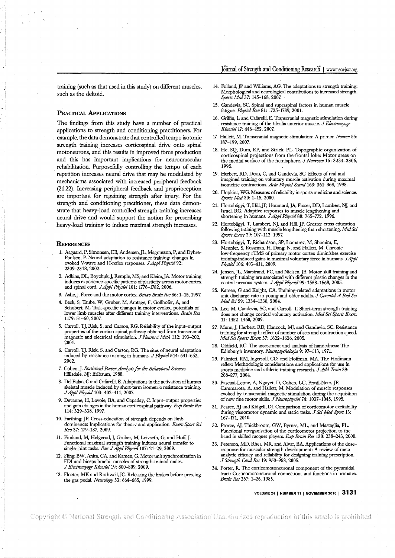training (such as that used in this study) on different muscles, such as the deltoid.

#### PRACTICAL APPliCATIONS

The findings from this study have a number of practical applications to strength and conditioning practitioners. For example, the data demonstrate that controlled tempo isotonic strength training increases corticospinal drive onto spinal motoneurons, and this results in improved force production and this has important implications for neuromuscular rehabilitation. Purposefully controlling the tempo of each repetition increases neural drive that may be modulated by mechanisms associated with increased peripheral feedback (21,22). Increasing peripheral feedback and proprioception are important for regaining strength after injury. For the strength and conditioning practitioner, these data demonstrate that heavy-load controlled strength training increases neural drive and would support the notion for prescribing heavy-load training to induce maximal strength increases.

#### **REFERENCES**

- 1. Aagaard, P, Simonsen, EB, Andersen,JL, Magnusson, P, and Dyhre-Poulsen, P. Neural adaptation to resistance training: changes in evoked V-wave and H-reflex responses. *J Appl Physiol92:*  2309-2318, 2002.
- 2. Adkins, DL, Boychuk,J, Remple, MS, and Kieim,JA. Motor training induces experience-specific patterns of plasticity across motor cortex and spinal cord. J **Appl Physiol** 101: 1776-1782, 2006.
- 3. Ashe,]. Force and the motor cortex. *Behav Brain Res* 86: 1-15, 1997.
- 4. Beck, S, Taube, W, Gruber, M, Amtage, F, Gollhofer, A, and Schubert, M. Task-specific changes in motor evoked potentials of lower limb muscles after different training interventions. *Brain Res*  1179: 51-60, 2007.
- 5. Carroll, TJ, Riek, S, and Carson, RG. Reliability of the input-output properties of the cortico-spinal pathway obtained from transcranial magnetic and electrical stimulation. *J Neurosci Meth* 112: 193-202, 2001.
- 6. Carroll, TJ, Riek, S, and Carson, RG. The sites of neural adaptation induced by resistance training in humans. *J Physiol* 544: 641-652, 2002.
- 7. Cohen,]. *Statistical Power Analysis for the Behavioral Sciences.*  Hillsdale, NJ: Erlbaum, 1988.
- 8. Del Balso, C and Cafarelli, E. Adaptations in the activation of human skeletal muscle induced by short-term isometric resistance training. J Appl Physiol 103: 402-411, 2007.
- 9. Devanne, H, Lavoie, BA, and Capaday, C. Input-output properties and gain changes in the human corticospinal pathway. *Exp Brain Res*  114:329-338,1997.
- 10. Farthing, JP. Cross-education of strength depends on limb dominance: Implications for theory and application. *Exerc Sport Sci Rev* 37: 179-187, 2009.
- 11. Fimland, M, Helgerud, J, Gruber, M, Leivseth, G, and Hoff, J. Functional maximal strength training induces neural transfer to single-joint tasks. *Eur* J *Appl Physioll07:* 21-29, 2009.
- 12. Fling, BW, Anita, CA, and Kamen, G. Motor unit synchronization in FDI and biceps brachii muscles of strength-trained males. J *Electromyogr Kinesiol19:* 800-809,2009.
- 13. floeter, MK and Rothwell,JC. Releasing the brakes before pressing the gas pedal. *Neurology* 53: 664-665, 1999.

#### Journal of Strength and Conditioning Research | www.nsca-jscr.org

- 14. Folland, JP and Williams, AG. The adaptations to strength training: Morphological and neurological contributions to increased strength. Sports Med 37: 145-168, 2007.
- 15. Gandevia, Sc. Spinal and supraspinal factors in human muscle fatigue. Physiol Rev 81: 1725-1789, 2001.
- 16. Griffin, L and Cafarelli, E. Transcranial magnetic stimulation during . resistance training of the tibialis anterior muscle. *J Electromyogr*  Kinesiol 17: 446-452, 2007.
- 17. Hallett, M. Transcranial magnetic stimulation: A primer. *Neuron 55:*  187-199,2007.
- 18. He, SQ, Dum, RP, and Strick, PL. Topographic organization of corticospinal projections from the frontal lobe: Motor areas on the medial surface of the hemisphere. *J Neurosci* 15: 3284-3306, 1995.
- 19. Herbert, RD, Dean, C, and Gandevia, SC. Effects of real and imagined training on voluntary muscle activation during maximal isometric contractions. *Acta Physzol Scand* 163: 361-368,1998.
- 20. Hopkins, WG. Measures of reliability in sports medicine and science. *Sports Med30:* 1-15,2000.
- 21. Hortobagyi, T, Hill,JP, Houmard,JA, Fraser, DD, Lambert, NJ, and Israel, RG. Adaptive responses to muscle lengthening and shortening in humans. *J Appl Physiol* 80: 765-772, 1996.
- 22. Hortobágyi, T, Lambert, NJ, and Hill, JP. Greater cross education following training with muscle lengthening than shortening. *Med Sci Sports Exerc* 29: 107-112, 1997.
- 23. Hortobágyi, T, Richardson, SP, Lomarev, M, Shamim, E, Meunier, S, Russman, H, Dang, N, and Hallett, M. Chronic low-frequency rTMS of primary motor cortex diminishes exercise training-induced gains in maximal voluntary force in humans. *J Appl*  Physiol 106: 403-411, 2009.
- 24. Jensen, JL, Marstrand, PC, and Nielsen, JB. Motor skill training and strength training are associated with different plastic changes in the central nervous system. *J Appl Physiol* 99: 1558-1568, 2005.
- 25. Kamen, G and Knight, CA. Training-related adaptations in motor unit discharge rate in young and older adults. J Gerontol A Biol Sci *Med Sci* 59: 1334-1338, 2004
- 26. Lee, M, Gandevia, SC, and Carroll, T. Short-term strength training does not change cortical voluntary activation. *Med Sci Sports Exere.*  41: 1452-1460,2009.
- 27. Munn, J, Herbert, RD, Hancock, MJ, and Gandevia, Sc. Resistance training for strength: effect of number of sets and contraction speed. *Med Sci Sports Exerc* 37: 1622-1626, 2005.
- 28. Oldfield, RC. The assessment and analysis of handedness: The Edinburgh inventory. *Neuropsychologia* 9: 97-113, 1971.
- 29. Palmieri, RM, Ingersoll, CD, and Hoffinan, MA. The Hoffinann reflex: Methodologic considerations and applications for use in sports medicine and athletic training research. *J Athl Train* 39: 268-277, 2004.
- 30. Pascual-Leone, A, Nguyet, D, Cohen, LG, Brasil-Neto, JP, Cammarota, A, and Hallett, M. Modulation of muscle responses evoked by transcranial magnetic stimulation during the acquisition of new fine motor skills. *J Neurophyszol74:* 1037-1045, 1995.
- 31. Pearce, AJ and Kidgell, DJ. Comparison of corticomotor excitability during visuomotor dynamic and static tasks. *J Sci Med Sport 13:*  167-171,2010.
- 32. Pearce, AJ, Thickbroom, GW, Byrnes, ML, and Mastaglia, FL. Functional reorganisation of the corticomotor projection to the hand in skilled racquet players. Exp *Brazn Res* 130: 238-243, 2000.
- 33. Peterson, MD, Rhea, MR, and Aivar, BA. Applications of the doseresponse for muscular strength development: A review of metaanalytic efficacy and reliability for designing training prescription. *J Strength Cond Res* 19: 950-958, 2005.
- 34. Porter, R. The corticomotoneuronal component of the pyramidal tract: Corticomotoneuronal connections and functions in primates. *Brazn Res* 357: 1-26, 1985.

VOLUME 24 I NUMBER 11 I NOVEMBER 2010 I **3131**